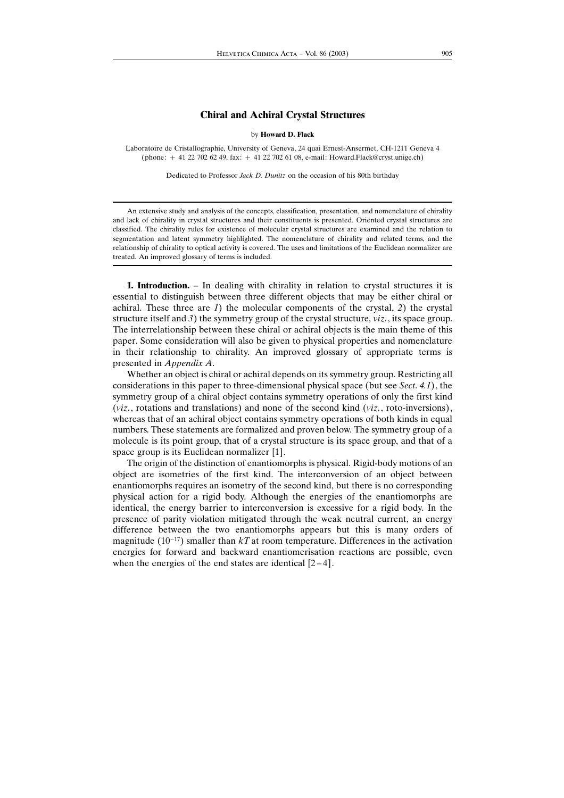## by Howard D. Flack

Laboratoire de Cristallographie, University of Geneva, 24 quai Ernest-Ansermet, CH-1211 Geneva 4 (phone: 4122 702 62 49, fax: 4122 702 6108, e-mail: Howard.Flack@cryst.unige.ch)

Dedicated to Professor Jack D. Dunitz on the occasion of his 80th birthday

An extensive study and analysis of the concepts, classification, presentation, and nomenclature of chirality and lack of chirality in crystal structures and their constituents is presented. Oriented crystal structures are classified. The chirality rules for existence of molecular crystal structures are examined and the relation to segmentation and latent symmetry highlighted. The nomenclature of chirality and related terms, and the relationship of chirality to optical activity is covered. The uses and limitations of the Euclidean normalizer are treated. An improved glossary of terms is included.

1. Introduction. - In dealing with chirality in relation to crystal structures it is essential to distinguish between three different objects that may be either chiral or achiral. These three are  $I$ ) the molecular components of the crystal,  $2$ ) the crystal structure itself and 3) the symmetry group of the crystal structure,  $viz$ , its space group. The interrelationship between these chiral or achiral objects is the main theme of this paper. Some consideration will also be given to physical properties and nomenclature in their relationship to chirality. An improved glossary of appropriate terms is presented in Appendix A.

Whether an object is chiral or achiral depends on its symmetry group. Restricting all considerations in this paper to three-dimensional physical space (but see Sect. 4.1), the symmetry group of a chiral object contains symmetry operations of only the first kind (viz., rotations and translations) and none of the second kind (viz., roto-inversions), whereas that of an achiral object contains symmetry operations of both kinds in equal numbers. These statements are formalized and proven below. The symmetry group of a molecule is its point group, that of a crystal structure is its space group, and that of a space group is its Euclidean normalizer [1].

The origin of the distinction of enantiomorphs is physical. Rigid-body motions of an object are isometries of the first kind. The interconversion of an object between enantiomorphs requires an isometry of the second kind, but there is no corresponding physical action for a rigid body. Although the energies of the enantiomorphs are identical, the energy barrier to interconversion is excessive for a rigid body. In the presence of parity violation mitigated through the weak neutral current, an energy difference between the two enantiomorphs appears but this is many orders of magnitude ( $10^{-17}$ ) smaller than kT at room temperature. Differences in the activation energies for forward and backward enantiomerisation reactions are possible, even when the energies of the end states are identical  $[2-4]$ .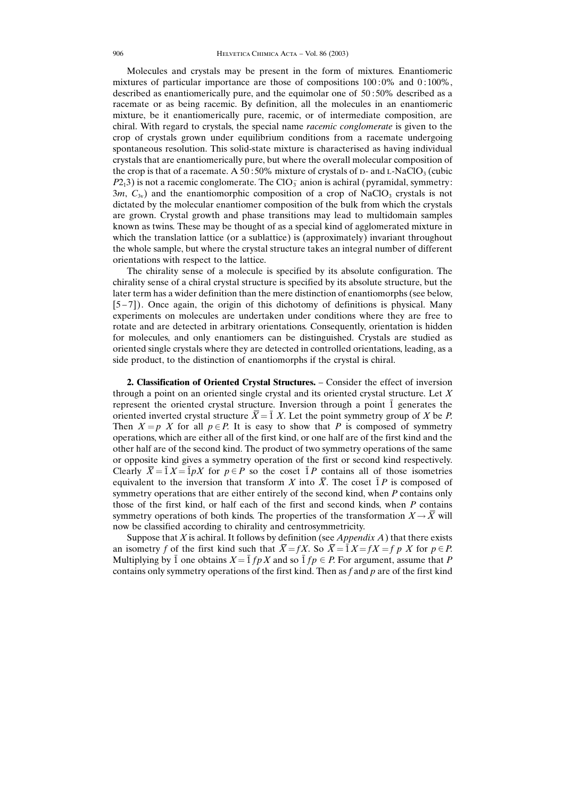Molecules and crystals may be present in the form of mixtures. Enantiomeric mixtures of particular importance are those of compositions  $100:0\%$  and  $0:100\%$ , described as enantiomerically pure, and the equimolar one of 50 : 50% described as a racemate or as being racemic. By definition, all the molecules in an enantiomeric mixture, be it enantiomerically pure, racemic, or of intermediate composition, are chiral. With regard to crystals, the special name racemic conglomerate is given to the crop of crystals grown under equilibrium conditions from a racemate undergoing spontaneous resolution. This solid-state mixture is characterised as having individual crystals that are enantiomerically pure, but where the overall molecular composition of the crop is that of a racemate. A 50:50% mixture of crystals of  $D$ - and  $L$ -NaClO<sub>3</sub> (cubic  $P2_13$ ) is not a racemic conglomerate. The ClO<sub>3</sub> anion is achiral (pyramidal, symmetry:  $3m$ ,  $C_{3v}$ ) and the enantiomorphic composition of a crop of NaClO<sub>3</sub> crystals is not dictated by the molecular enantiomer composition of the bulk from which the crystals are grown. Crystal growth and phase transitions may lead to multidomain samples known as twins. These may be thought of as a special kind of agglomerated mixture in which the translation lattice (or a sublattice) is (approximately) invariant throughout the whole sample, but where the crystal structure takes an integral number of different orientations with respect to the lattice.

The chirality sense of a molecule is specified by its absolute configuration. The chirality sense of a chiral crystal structure is specified by its absolute structure, but the later term has a wider definition than the mere distinction of enantiomorphs (see below,  $[5 - 7]$ ). Once again, the origin of this dichotomy of definitions is physical. Many experiments on molecules are undertaken under conditions where they are free to rotate and are detected in arbitrary orientations. Consequently, orientation is hidden for molecules, and only enantiomers can be distinguished. Crystals are studied as oriented single crystals where they are detected in controlled orientations, leading, as a side product, to the distinction of enantiomorphs if the crystal is chiral.

2. Classification of Oriented Crystal Structures. - Consider the effect of inversion through a point on an oriented single crystal and its oriented crystal structure. Let  $X$ represent the oriented crystal structure. Inversion through a point  $\overline{1}$  generates the oriented inverted crystal structure  $\overline{X} = \overline{1} X$ . Let the point symmetry group of X be P. Then  $X = p$  X for all  $p \in P$ . It is easy to show that P is composed of symmetry operations, which are either all of the first kind, or one half are of the first kind and the other half are of the second kind. The product of two symmetry operations of the same or opposite kind gives a symmetry operation of the first or second kind respectively. Clearly  $\overline{X} = \overline{1}X = \overline{1}pX$  for  $p \in P$  so the coset  $\overline{1}P$  contains all of those isometries equivalent to the inversion that transform X into  $\overline{X}$ . The coset  $\overline{1}P$  is composed of symmetry operations that are either entirely of the second kind, when P contains only those of the first kind, or half each of the first and second kinds, when  $P$  contains symmetry operations of both kinds. The properties of the transformation  $X \rightarrow \overline{X}$  will now be classified according to chirality and centrosymmetricity.

Suppose that  $X$  is achiral. It follows by definition (see *Appendix A*) that there exists an isometry f of the first kind such that  $\overline{X} = fX$ . So  $\overline{X} = \overline{1}X = fX = f$  p X for  $p \in P$ . Multiplying by  $\overline{1}$  one obtains  $X = \overline{1} f p X$  and so  $\overline{1} f p \in P$ . For argument, assume that P contains only symmetry operations of the first kind. Then as f and  $p$  are of the first kind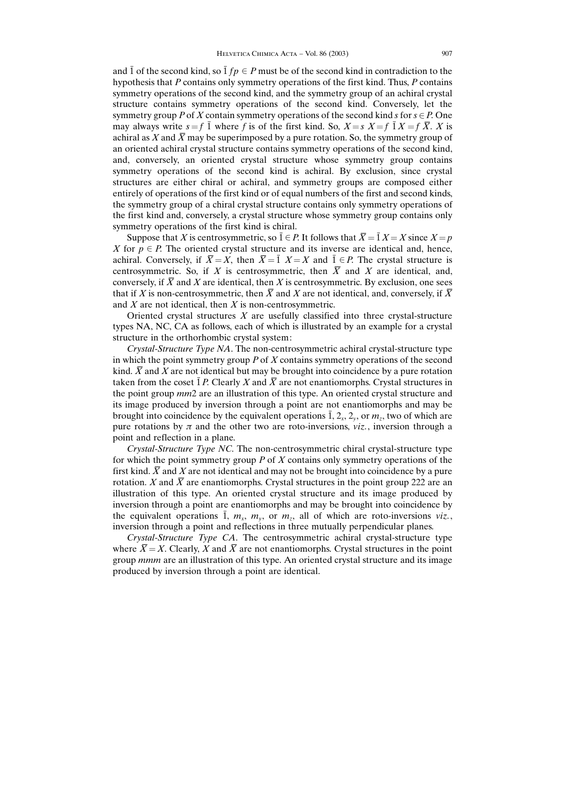and  $\overline{1}$  of the second kind, so  $\overline{1}$  f  $p \in P$  must be of the second kind in contradiction to the hypothesis that P contains only symmetry operations of the first kind. Thus, P contains symmetry operations of the second kind, and the symmetry group of an achiral crystal structure contains symmetry operations of the second kind. Conversely, let the symmetry group P of X contain symmetry operations of the second kind s for  $s \in P$ . One may always write  $s = f \bar{1}$  where f is of the first kind. So,  $X = s X = f \bar{1}X = f \bar{X}$ . X is achiral as X and  $\overline{X}$  may be superimposed by a pure rotation. So, the symmetry group of an oriented achiral crystal structure contains symmetry operations of the second kind, and, conversely, an oriented crystal structure whose symmetry group contains symmetry operations of the second kind is achiral. By exclusion, since crystal structures are either chiral or achiral, and symmetry groups are composed either entirely of operations of the first kind or of equal numbers of the first and second kinds, the symmetry group of a chiral crystal structure contains only symmetry operations of the first kind and, conversely, a crystal structure whose symmetry group contains only symmetry operations of the first kind is chiral.

Suppose that X is centrosymmetric, so  $\overline{1} \in P$ . It follows that  $\overline{X} = \overline{1}X = X$  since  $X = p$ X for  $p \in P$ . The oriented crystal structure and its inverse are identical and, hence, achiral. Conversely, if  $\overline{X} = X$ , then  $\overline{X} = \overline{1}$   $X = X$  and  $\overline{1} \in P$ . The crystal structure is centrosymmetric. So, if X is centrosymmetric, then  $\overline{X}$  and X are identical, and, conversely, if  $\overline{X}$  and X are identical, then X is centrosymmetric. By exclusion, one sees that if X is non-centrosymmetric, then  $\overline{X}$  and X are not identical, and, conversely, if  $\overline{X}$ and  $X$  are not identical, then  $X$  is non-centrosymmetric.

Oriented crystal structures  $X$  are usefully classified into three crystal-structure types NA, NC, CA as follows, each of which is illustrated by an example for a crystal structure in the orthorhombic crystal system:

Crystal-Structure Type NA. The non-centrosymmetric achiral crystal-structure type in which the point symmetry group  $P$  of  $X$  contains symmetry operations of the second kind.  $\overline{X}$  and X are not identical but may be brought into coincidence by a pure rotation taken from the coset  $\overline{1}P$ . Clearly X and  $\overline{X}$  are not enantiomorphs. Crystal structures in the point group *mm*2 are an illustration of this type. An oriented crystal structure and its image produced by inversion through a point are not enantiomorphs and may be brought into coincidence by the equivalent operations  $\overline{1}$ ,  $2_x$ ,  $2_y$ , or  $m_z$ , two of which are pure rotations by  $\pi$  and the other two are roto-inversions, *viz*., inversion through a point and reflection in a plane.

Crystal-Structure Type NC. The non-centrosymmetric chiral crystal-structure type for which the point symmetry group  $P$  of  $X$  contains only symmetry operations of the first kind.  $\overline{X}$  and X are not identical and may not be brought into coincidence by a pure rotation. X and  $\overline{X}$  are enantiomorphs. Crystal structures in the point group 222 are an illustration of this type. An oriented crystal structure and its image produced by inversion through a point are enantiomorphs and may be brought into coincidence by the equivalent operations  $\overline{1}$ ,  $m_x$ ,  $m_y$ , or  $m_z$ , all of which are roto-inversions *viz.*, inversion through a point and reflections in three mutually perpendicular planes.

Crystal-Structure Type CA. The centrosymmetric achiral crystal-structure type where  $\overline{X} = X$ . Clearly, X and  $\overline{X}$  are not enantiomorphs. Crystal structures in the point group mmm are an illustration of this type. An oriented crystal structure and its image produced by inversion through a point are identical.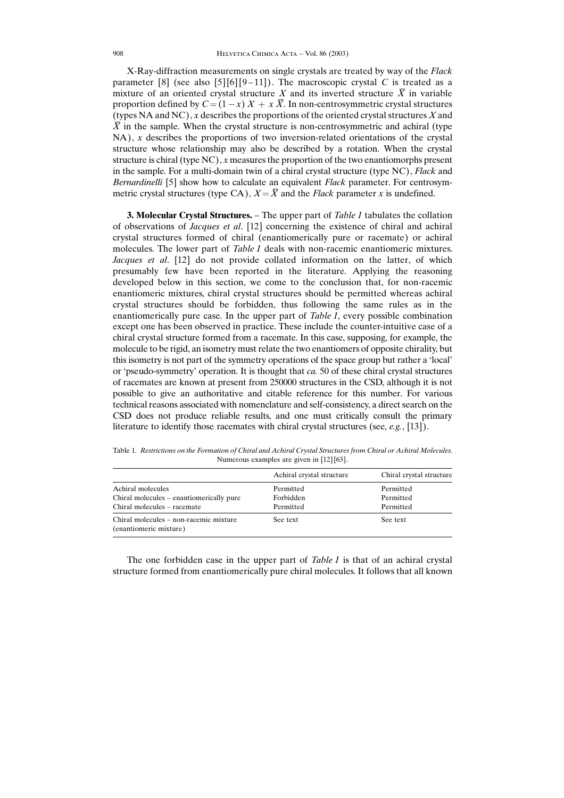X-Ray-diffraction measurements on single crystals are treated by way of the Flack parameter [8] (see also [5] [6] [9 - 11]). The macroscopic crystal C is treated as a mixture of an oriented crystal structure X and its inverted structure  $\overline{X}$  in variable proportion defined by  $C = (1 - x) X + x X$ . In non-centrosymmetric crystal structures (types NA and NC), x describes the proportions of the oriented crystal structures  $X$  and  $\overline{X}$  in the sample. When the crystal structure is non-centrosymmetric and achiral (type  $NA$ ), x describes the proportions of two inversion-related orientations of the crystal structure whose relationship may also be described by a rotation. When the crystal structure is chiral (type NC), x measures the proportion of the two enantiomorphs present in the sample. For a multi-domain twin of a chiral crystal structure (type NC), Flack and Bernardinelli [5] show how to calculate an equivalent Flack parameter. For centrosymmetric crystal structures (type CA),  $X = \overline{X}$  and the *Flack* parameter x is undefined.

3. Molecular Crystal Structures.  $-$  The upper part of *Table 1* tabulates the collation of observations of Jacques et al. [12] concerning the existence of chiral and achiral crystal structures formed of chiral (enantiomerically pure or racemate) or achiral molecules. The lower part of Table 1 deals with non-racemic enantiomeric mixtures. Jacques et al. [12] do not provide collated information on the latter, of which presumably few have been reported in the literature. Applying the reasoning developed below in this section, we come to the conclusion that, for non-racemic enantiomeric mixtures, chiral crystal structures should be permitted whereas achiral crystal structures should be forbidden, thus following the same rules as in the enantiomerically pure case. In the upper part of Table 1, every possible combination except one has been observed in practice. These include the counter-intuitive case of a chiral crystal structure formed from a racemate. In this case, supposing, for example, the molecule to be rigid, an isometry must relate the two enantiomers of opposite chirality, but this isometry is not part of the symmetry operations of the space group but rather a 'local' or 'pseudo-symmetry' operation. It is thought that ca. 50 of these chiral crystal structures of racemates are known at present from 250000 structures in the CSD, although it is not possible to give an authoritative and citable reference for this number. For various technical reasons associated with nomenclature and self-consistency, a direct search on the CSD does not produce reliable results, and one must critically consult the primary literature to identify those racemates with chiral crystal structures (see,  $e.g., [13]$ ).

Table 1. Restrictions on the Formation of Chiral and Achiral Crystal Structures from Chiral or Achiral Molecules. Numerous examples are given in [12] [63].

|                                                                                              | Achiral crystal structure           | Chiral crystal structure            |
|----------------------------------------------------------------------------------------------|-------------------------------------|-------------------------------------|
| Achiral molecules<br>Chiral molecules – enantiomerically pure<br>Chiral molecules – racemate | Permitted<br>Forbidden<br>Permitted | Permitted<br>Permitted<br>Permitted |
| Chiral molecules – non-racemic mixture<br>(enantiomeric mixture)                             | See text                            | See text                            |

The one forbidden case in the upper part of *Table 1* is that of an achiral crystal structure formed from enantiomerically pure chiral molecules. It follows that all known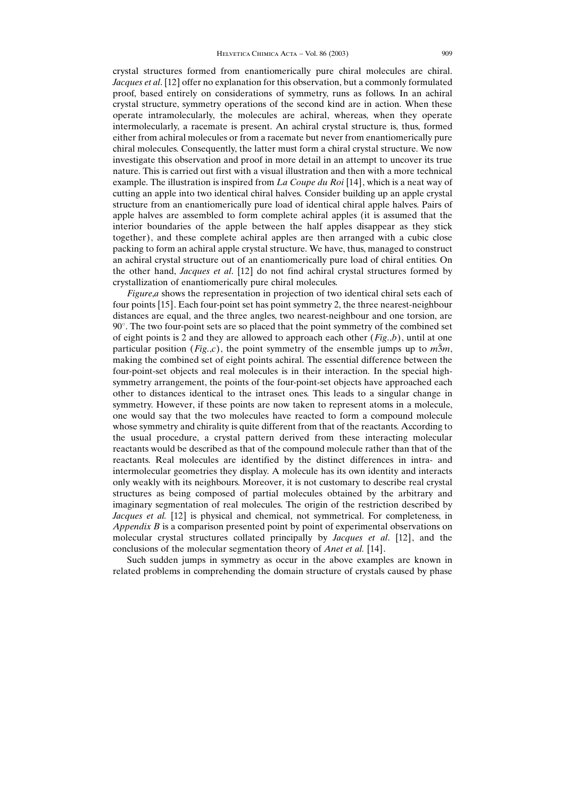crystal structures formed from enantiomerically pure chiral molecules are chiral. Jacques et al. [12] offer no explanation for this observation, but a commonly formulated proof, based entirely on considerations of symmetry, runs as follows. In an achiral crystal structure, symmetry operations of the second kind are in action. When these operate intramolecularly, the molecules are achiral, whereas, when they operate intermolecularly, a racemate is present. An achiral crystal structure is, thus, formed either from achiral molecules or from a racemate but never from enantiomerically pure chiral molecules. Consequently, the latter must form a chiral crystal structure. We now investigate this observation and proof in more detail in an attempt to uncover its true nature. This is carried out first with a visual illustration and then with a more technical example. The illustration is inspired from La Coupe du Roi [14], which is a neat way of cutting an apple into two identical chiral halves. Consider building up an apple crystal structure from an enantiomerically pure load of identical chiral apple halves. Pairs of apple halves are assembled to form complete achiral apples (it is assumed that the interior boundaries of the apple between the half apples disappear as they stick together), and these complete achiral apples are then arranged with a cubic close packing to form an achiral apple crystal structure. We have, thus, managed to construct an achiral crystal structure out of an enantiomerically pure load of chiral entities. On the other hand, Jacques et al. [12] do not find achiral crystal structures formed by crystallization of enantiomerically pure chiral molecules.

Figure,a shows the representation in projection of two identical chiral sets each of four points [15]. Each four-point set has point symmetry 2, the three nearest-neighbour distances are equal, and the three angles, two nearest-neighbour and one torsion, are 90. The two four-point sets are so placed that the point symmetry of the combined set of eight points is 2 and they are allowed to approach each other  $(Fig, b)$ , until at one particular position (Fig.,c), the point symmetry of the ensemble jumps up to  $m\overline{3}m$ , making the combined set of eight points achiral. The essential difference between the four-point-set objects and real molecules is in their interaction. In the special highsymmetry arrangement, the points of the four-point-set objects have approached each other to distances identical to the intraset ones. This leads to a singular change in symmetry. However, if these points are now taken to represent atoms in a molecule, one would say that the two molecules have reacted to form a compound molecule whose symmetry and chirality is quite different from that of the reactants. According to the usual procedure, a crystal pattern derived from these interacting molecular reactants would be described as that of the compound molecule rather than that of the reactants. Real molecules are identified by the distinct differences in intra- and intermolecular geometries they display. A molecule has its own identity and interacts only weakly with its neighbours. Moreover, it is not customary to describe real crystal structures as being composed of partial molecules obtained by the arbitrary and imaginary segmentation of real molecules. The origin of the restriction described by Jacques et al. [12] is physical and chemical, not symmetrical. For completeness, in Appendix  $B$  is a comparison presented point by point of experimental observations on molecular crystal structures collated principally by *Jacques et al.* [12], and the conclusions of the molecular segmentation theory of Anet et al. [14].

Such sudden jumps in symmetry as occur in the above examples are known in related problems in comprehending the domain structure of crystals caused by phase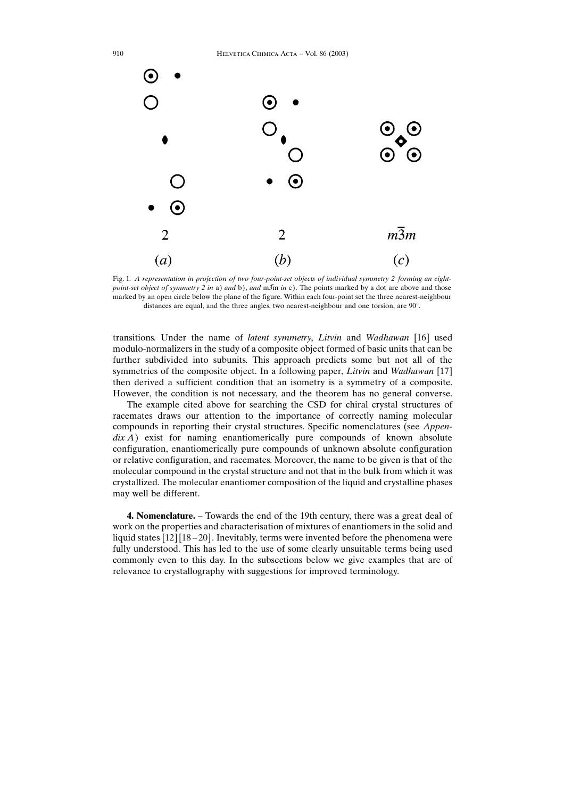

Fig. 1. A representation in projection of two four-point-set objects of individual symmetry 2 forming an eightpoint-set object of symmetry 2 in a) and b), and  $m\bar{3}m$  in c). The points marked by a dot are above and those marked by an open circle below the plane of the figure. Within each four-point set the three nearest-neighbour distances are equal, and the three angles, two nearest-neighbour and one torsion, are 90°.

transitions. Under the name of latent symmetry, Litvin and Wadhawan [16] used modulo-normalizers in the study of a composite object formed of basic units that can be further subdivided into subunits. This approach predicts some but not all of the symmetries of the composite object. In a following paper, Litvin and Wadhawan [17] then derived a sufficient condition that an isometry is a symmetry of a composite. However, the condition is not necessary, and the theorem has no general converse.

The example cited above for searching the CSD for chiral crystal structures of racemates draws our attention to the importance of correctly naming molecular compounds in reporting their crystal structures. Specific nomenclatures (see Appen $dix A$ ) exist for naming enantiomerically pure compounds of known absolute configuration, enantiomerically pure compounds of unknown absolute configuration or relative configuration, and racemates. Moreover, the name to be given is that of the molecular compound in the crystal structure and not that in the bulk from which it was crystallized. The molecular enantiomer composition of the liquid and crystalline phases may well be different.

**4. Nomenclature.**  $-$  Towards the end of the 19th century, there was a great deal of work on the properties and characterisation of mixtures of enantiomers in the solid and liquid states  $[12][18-20]$ . Inevitably, terms were invented before the phenomena were fully understood. This has led to the use of some clearly unsuitable terms being used commonly even to this day. In the subsections below we give examples that are of relevance to crystallography with suggestions for improved terminology.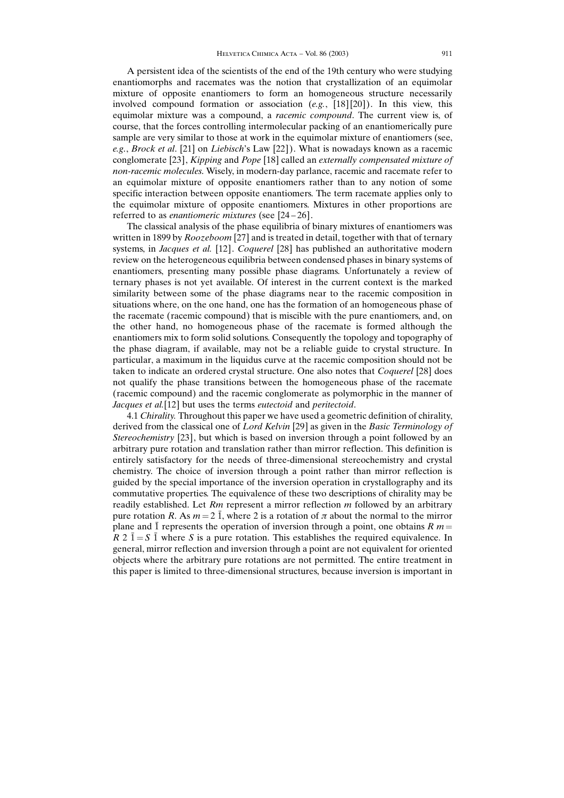A persistent idea of the scientists of the end of the 19th century who were studying enantiomorphs and racemates was the notion that crystallization of an equimolar mixture of opposite enantiomers to form an homogeneous structure necessarily involved compound formation or association  $(e.g., [18][20])$ . In this view, this equimolar mixture was a compound, a *racemic compound*. The current view is, of course, that the forces controlling intermolecular packing of an enantiomerically pure sample are very similar to those at work in the equimolar mixture of enantiomers (see, e.g., Brock et al. [21] on Liebisch's Law  $[22]$ ). What is nowadays known as a racemic conglomerate [23], Kipping and Pope [18] called an externally compensated mixture of non-racemic molecules. Wisely, in modern-day parlance, racemic and racemate refer to an equimolar mixture of opposite enantiomers rather than to any notion of some specific interaction between opposite enantiomers. The term racemate applies only to the equimolar mixture of opposite enantiomers. Mixtures in other proportions are referred to as *enantiomeric mixtures* (see  $[24-26]$ .

The classical analysis of the phase equilibria of binary mixtures of enantiomers was written in 1899 by Roozeboom [27] and is treated in detail, together with that of ternary systems, in Jacques et al. [12]. Coquerel [28] has published an authoritative modern review on the heterogeneous equilibria between condensed phases in binary systems of enantiomers, presenting many possible phase diagrams. Unfortunately a review of ternary phases is not yet available. Of interest in the current context is the marked similarity between some of the phase diagrams near to the racemic composition in situations where, on the one hand, one has the formation of an homogeneous phase of the racemate (racemic compound) that is miscible with the pure enantiomers, and, on the other hand, no homogeneous phase of the racemate is formed although the enantiomers mix to form solid solutions. Consequently the topology and topography of the phase diagram, if available, may not be a reliable guide to crystal structure. In particular, a maximum in the liquidus curve at the racemic composition should not be taken to indicate an ordered crystal structure. One also notes that *Coquerel* [28] does not qualify the phase transitions between the homogeneous phase of the racemate (racemic compound) and the racemic conglomerate as polymorphic in the manner of Jacques et al.<sup>[12]</sup> but uses the terms eutectoid and peritectoid.

4.1 Chirality. Throughout this paper we have used a geometric definition of chirality, derived from the classical one of Lord Kelvin [29] as given in the Basic Terminology of Stereochemistry [23], but which is based on inversion through a point followed by an arbitrary pure rotation and translation rather than mirror reflection. This definition is entirely satisfactory for the needs of three-dimensional stereochemistry and crystal chemistry. The choice of inversion through a point rather than mirror reflection is guided by the special importance of the inversion operation in crystallography and its commutative properties. The equivalence of these two descriptions of chirality may be readily established. Let  $Rm$  represent a mirror reflection m followed by an arbitrary pure rotation R. As  $m = 2$  I, where 2 is a rotation of  $\pi$  about the normal to the mirror plane and I represents the operation of inversion through a point, one obtains R  $m=$ R 2  $\bar{1}$  = S  $\bar{1}$  where S is a pure rotation. This establishes the required equivalence. In general, mirror reflection and inversion through a point are not equivalent for oriented objects where the arbitrary pure rotations are not permitted. The entire treatment in this paper is limited to three-dimensional structures, because inversion is important in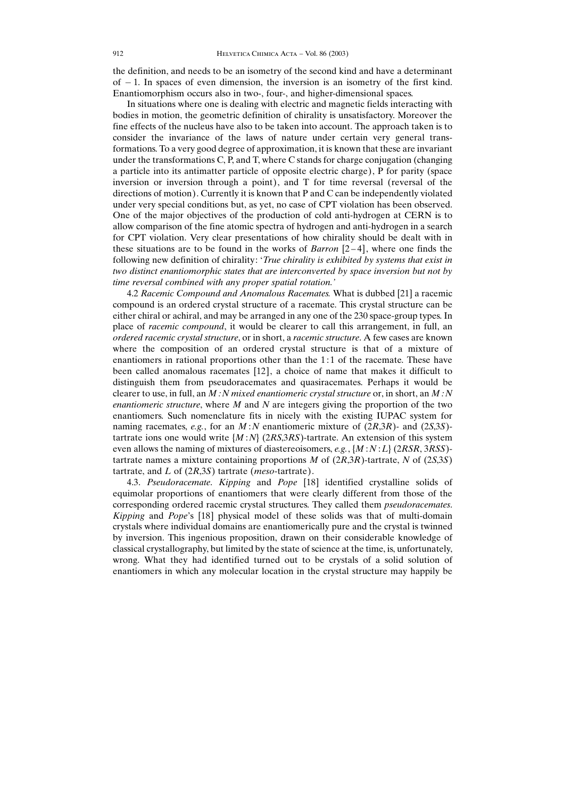the definition, and needs to be an isometry of the second kind and have a determinant of  $-1$ . In spaces of even dimension, the inversion is an isometry of the first kind. Enantiomorphism occurs also in two-, four-, and higher-dimensional spaces.

In situations where one is dealing with electric and magnetic fields interacting with bodies in motion, the geometric definition of chirality is unsatisfactory. Moreover the fine effects of the nucleus have also to be taken into account. The approach taken is to consider the invariance of the laws of nature under certain very general transformations. To a very good degree of approximation, it is known that these are invariant under the transformations C, P, and T, where C stands for charge conjugation (changing a particle into its antimatter particle of opposite electric charge), P for parity (space inversion or inversion through a point), and T for time reversal (reversal of the directions of motion). Currently it is known that P and C can be independently violated under very special conditions but, as yet, no case of CPT violation has been observed. One of the major objectives of the production of cold anti-hydrogen at CERN is to allow comparison of the fine atomic spectra of hydrogen and anti-hydrogen in a search for CPT violation. Very clear presentations of how chirality should be dealt with in these situations are to be found in the works of *Barron*  $[2-4]$ , where one finds the following new definition of chirality: 'True chirality is exhibited by systems that exist in two distinct enantiomorphic states that are interconverted by space inversion but not by time reversal combined with any proper spatial rotation.'

4.2 Racemic Compound and Anomalous Racemates. What is dubbed [21] a racemic compound is an ordered crystal structure of a racemate. This crystal structure can be either chiral or achiral, and may be arranged in any one of the 230 space-group types. In place of racemic compound, it would be clearer to call this arrangement, in full, an ordered racemic crystal structure, or in short, a racemic structure. A few cases are known where the composition of an ordered crystal structure is that of a mixture of enantiomers in rational proportions other than the  $1:1$  of the racemate. These have been called anomalous racemates [12], a choice of name that makes it difficult to distinguish them from pseudoracemates and quasiracemates. Perhaps it would be clearer to use, in full, an  $M$ : N mixed enantiomeric crystal structure or, in short, an  $M$ : N enantiomeric structure, where  $M$  and  $N$  are integers giving the proportion of the two enantiomers. Such nomenclature fits in nicely with the existing IUPAC system for naming racemates, e.g., for an  $M$ : N enantiomeric mixture of  $(2R,3R)$ - and  $(2S,3S)$ tartrate ions one would write  $\{M : N\}$  (2RS,3RS)-tartrate. An extension of this system even allows the naming of mixtures of diastereoisomers, e.g.,  $\{M : N : L\}$  (2RSR, 3RSS)tartrate names a mixture containing proportions  $M$  of  $(2R,3R)$ -tartrate,  $N$  of  $(2S,3S)$ tartrate, and  $L$  of (2R,3S) tartrate (*meso*-tartrate).

4.3. Pseudoracemate. Kipping and Pope [18] identified crystalline solids of equimolar proportions of enantiomers that were clearly different from those of the corresponding ordered racemic crystal structures. They called them pseudoracemates. Kipping and Pope's  $[18]$  physical model of these solids was that of multi-domain crystals where individual domains are enantiomerically pure and the crystal is twinned by inversion. This ingenious proposition, drawn on their considerable knowledge of classical crystallography, but limited by the state of science at the time, is, unfortunately, wrong. What they had identified turned out to be crystals of a solid solution of enantiomers in which any molecular location in the crystal structure may happily be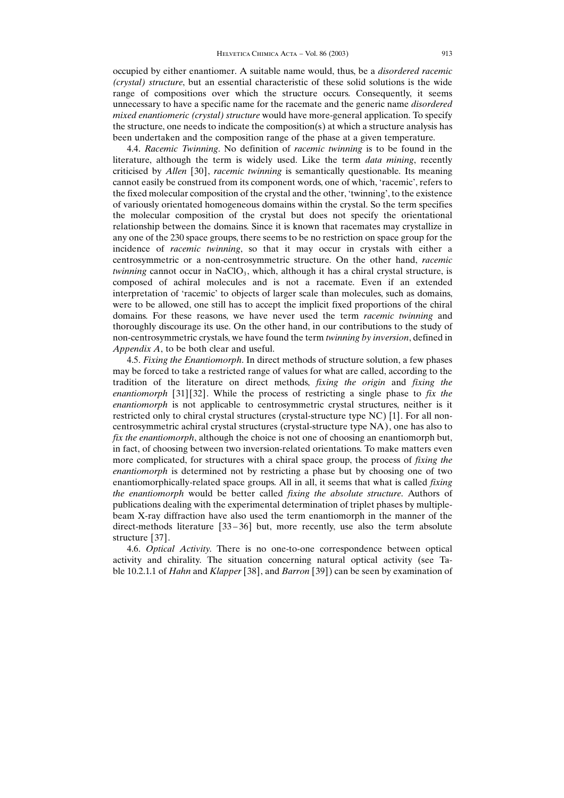occupied by either enantiomer. A suitable name would, thus, be a disordered racemic (crystal) structure, but an essential characteristic of these solid solutions is the wide range of compositions over which the structure occurs. Consequently, it seems unnecessary to have a specific name for the racemate and the generic name *disordered* mixed enantiomeric (crystal) structure would have more-general application. To specify the structure, one needs to indicate the composition(s) at which a structure analysis has been undertaken and the composition range of the phase at a given temperature.

4.4. Racemic Twinning. No definition of racemic twinning is to be found in the literature, although the term is widely used. Like the term data mining, recently criticised by Allen [30], racemic twinning is semantically questionable. Its meaning cannot easily be construed from its component words, one of which, 'racemic', refers to the fixed molecular composition of the crystal and the other,  $\alpha$  twinning, to the existence of variously orientated homogeneous domains within the crystal. So the term specifies the molecular composition of the crystal but does not specify the orientational relationship between the domains. Since it is known that racemates may crystallize in any one of the 230 space groups, there seems to be no restriction on space group for the incidence of racemic twinning, so that it may occur in crystals with either a centrosymmetric or a non-centrosymmetric structure. On the other hand, racemic twinning cannot occur in  $NaClO<sub>3</sub>$ , which, although it has a chiral crystal structure, is composed of achiral molecules and is not a racemate. Even if an extended interpretation of 'racemic' to objects of larger scale than molecules, such as domains, were to be allowed, one still has to accept the implicit fixed proportions of the chiral domains. For these reasons, we have never used the term racemic twinning and thoroughly discourage its use. On the other hand, in our contributions to the study of non-centrosymmetric crystals, we have found the term *twinning by inversion*, defined in Appendix  $\vec{A}$ , to be both clear and useful.

4.5. Fixing the Enantiomorph. In direct methods of structure solution, a few phases may be forced to take a restricted range of values for what are called, according to the tradition of the literature on direct methods, fixing the origin and fixing the enantiomorph [31] [32]. While the process of restricting a single phase to fix the enantiomorph is not applicable to centrosymmetric crystal structures, neither is it restricted only to chiral crystal structures (crystal-structure type NC) [1]. For all noncentrosymmetric achiral crystal structures (crystal-structure type NA), one has also to fix the enantiomorph, although the choice is not one of choosing an enantiomorph but, in fact, of choosing between two inversion-related orientations. To make matters even more complicated, for structures with a chiral space group, the process of fixing the enantiomorph is determined not by restricting a phase but by choosing one of two enantiomorphically-related space groups. All in all, it seems that what is called *fixing* the enantiomorph would be better called fixing the absolute structure. Authors of publications dealing with the experimental determination of triplet phases by multiplebeam X-ray diffraction have also used the term enantiomorph in the manner of the direct-methods literature  $\left[33 - 36\right]$  but, more recently, use also the term absolute structure [37].

4.6. Optical Activity. There is no one-to-one correspondence between optical activity and chirality. The situation concerning natural optical activity (see Table 10.2.1.1 of *Hahn* and *Klapper* [38], and *Barron* [39]) can be seen by examination of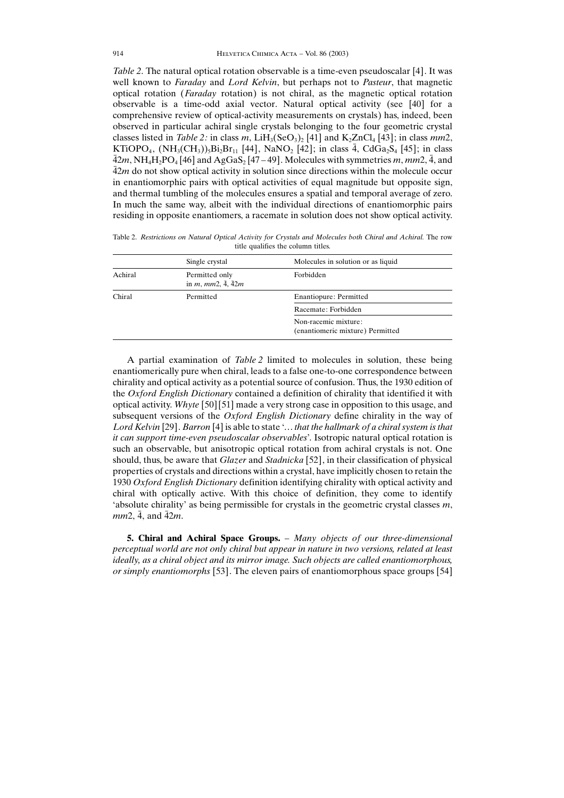Table 2. The natural optical rotation observable is a time-even pseudoscalar [4]. It was well known to *Faraday* and *Lord Kelvin*, but perhaps not to *Pasteur*, that magnetic optical rotation (Faraday rotation) is not chiral, as the magnetic optical rotation observable is a time-odd axial vector. Natural optical activity (see [40] for a comprehensive review of optical-activity measurements on crystals) has, indeed, been observed in particular achiral single crystals belonging to the four geometric crystal classes listed in Table 2: in class m,  $LiH_3(SeO_3)$ , [41] and  $K_2ZnCl_4$  [43]; in class mm2, KTiOPO<sub>4</sub>,  $(NH_3(CH_3))_5B_2Br_{11}$  [44], NaNO<sub>2</sub> [42]; in class  $\overline{4}$ , CdGa<sub>2</sub>S<sub>4</sub> [45]; in class  $\overline{4}2m$ , NH<sub>4</sub>H<sub>2</sub>PO<sub>4</sub> [46] and AgGaS<sub>2</sub> [47 – 49]. Molecules with symmetries m, mm2,  $\overline{4}$ , and  $\overline{4}2m$  do not show optical activity in solution since directions within the molecule occur in enantiomorphic pairs with optical activities of equal magnitude but opposite sign, and thermal tumbling of the molecules ensures a spatial and temporal average of zero. In much the same way, albeit with the individual directions of enantiomorphic pairs residing in opposite enantiomers, a racemate in solution does not show optical activity.

Table 2. Restrictions on Natural Optical Activity for Crystals and Molecules both Chiral and Achiral. The row title qualifies the column titles.

|                     | Single crystal                                                       | Molecules in solution or as liquid                       |  |
|---------------------|----------------------------------------------------------------------|----------------------------------------------------------|--|
| Achiral             | Permitted only<br>in <i>m</i> , <i>mm</i> 2, $\bar{4}$ , $\bar{4}2m$ | Forbidden                                                |  |
| Chiral<br>Permitted |                                                                      | Enantiopure: Permitted                                   |  |
|                     | Racemate: Forbidden                                                  |                                                          |  |
|                     |                                                                      | Non-racemic mixture:<br>(enantiomeric mixture) Permitted |  |

A partial examination of Table 2 limited to molecules in solution, these being enantiomerically pure when chiral, leads to a false one-to-one correspondence between chirality and optical activity as a potential source of confusion. Thus, the 1930 edition of the Oxford English Dictionary contained a definition of chirality that identified it with optical activity. Whyte  $[50] [51]$  made a very strong case in opposition to this usage, and subsequent versions of the Oxford English Dictionary define chirality in the way of Lord Kelvin [29]. Barron [4] is able to state  $\ldots$  that the hallmark of a chiral system is that it can support time-even pseudoscalar observables'. Isotropic natural optical rotation is such an observable, but anisotropic optical rotation from achiral crystals is not. One should, thus, be aware that *Glazer* and *Stadnicka* [52], in their classification of physical properties of crystals and directions within a crystal, have implicitly chosen to retain the 1930 Oxford English Dictionary definition identifying chirality with optical activity and chiral with optically active. With this choice of definition, they come to identify  $a$ absolute chirality' as being permissible for crystals in the geometric crystal classes m,  $mm2$ ,  $\bar{4}$ , and  $\bar{4}2m$ .

5. Chiral and Achiral Space Groups.  $-$  Many objects of our three-dimensional perceptual world are not only chiral but appear in nature in two versions, related at least ideally, as a chiral object and its mirror image. Such objects are called enantiomorphous, or simply enantiomorphs [53]. The eleven pairs of enantiomorphous space groups [54]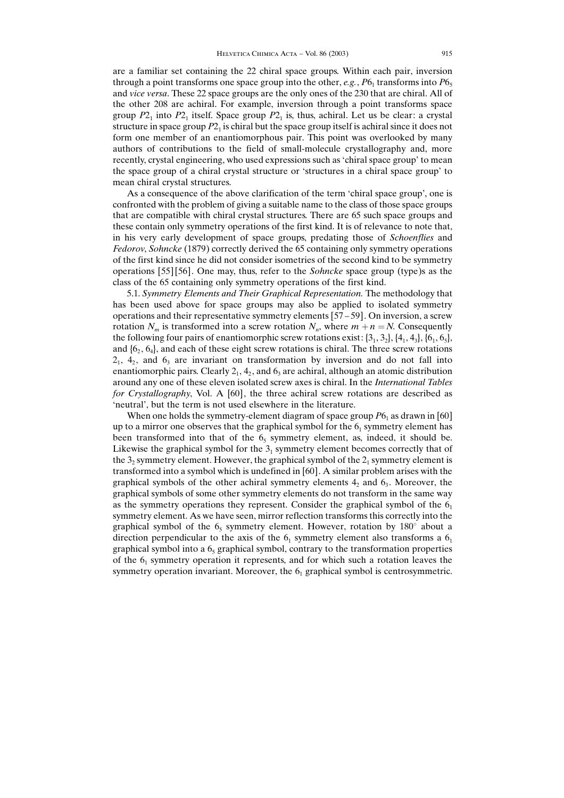are a familiar set containing the 22 chiral space groups. Within each pair, inversion through a point transforms one space group into the other, e.g.,  $P6_1$  transforms into  $P6_5$ and vice versa. These 22 space groups are the only ones of the 230 that are chiral. All of the other 208 are achiral. For example, inversion through a point transforms space group  $P_1$  into  $P_2$  itself. Space group  $P_2$  is, thus, achiral. Let us be clear: a crystal structure in space group  $P_1$  is chiral but the space group itself is achiral since it does not form one member of an enantiomorphous pair. This point was overlooked by many authors of contributions to the field of small-molecule crystallography and, more recently, crystal engineering, who used expressions such as  $\gamma$ chiral space group' to mean the space group of a chiral crystal structure or 'structures in a chiral space group' to mean chiral crystal structures.

As a consequence of the above clarification of the term  $\Omega$ -chiral space group', one is confronted with the problem of giving a suitable name to the class of those space groups that are compatible with chiral crystal structures. There are 65 such space groups and these contain only symmetry operations of the first kind. It is of relevance to note that, in his very early development of space groups, predating those of Schoenflies and Fedorov, Sohncke (1879) correctly derived the 65 containing only symmetry operations of the first kind since he did not consider isometries of the second kind to be symmetry operations [55] [56]. One may, thus, refer to the Sohncke space group (type)s as the class of the 65 containing only symmetry operations of the first kind.

5.1. Symmetry Elements and Their Graphical Representation. The methodology that has been used above for space groups may also be applied to isolated symmetry operations and their representative symmetry elements  $[57 - 59]$ . On inversion, a screw rotation  $N_m$  is transformed into a screw rotation  $N_n$ , where  $m + n = N$ . Consequently the following four pairs of enantiomorphic screw rotations exist:  $\{3_1, 3_2\}$ ,  $\{4_1, 4_3\}$ ,  $\{6_1, 6_5\}$ , and  $\{6, 6, 6\}$ , and each of these eight screw rotations is chiral. The three screw rotations  $2<sub>1</sub>$ ,  $4<sub>2</sub>$ , and  $6<sub>3</sub>$  are invariant on transformation by inversion and do not fall into enantiomorphic pairs. Clearly  $2<sub>1</sub>$ ,  $4<sub>2</sub>$ , and  $6<sub>3</sub>$  are achiral, although an atomic distribution around any one of these eleven isolated screw axes is chiral. In the International Tables for Crystallography, Vol. A [60], the three achiral screw rotations are described as −neutral×, but the term is not used elsewhere in the literature.

When one holds the symmetry-element diagram of space group  $P6<sub>1</sub>$  as drawn in [60] up to a mirror one observes that the graphical symbol for the  $6<sub>1</sub>$  symmetry element has been transformed into that of the  $6<sub>5</sub>$  symmetry element, as, indeed, it should be. Likewise the graphical symbol for the  $3<sub>1</sub>$  symmetry element becomes correctly that of the 3, symmetry element. However, the graphical symbol of the  $2<sub>1</sub>$  symmetry element is transformed into a symbol which is undefined in [60]. A similar problem arises with the graphical symbols of the other achiral symmetry elements  $4<sub>2</sub>$  and  $6<sub>3</sub>$ . Moreover, the graphical symbols of some other symmetry elements do not transform in the same way as the symmetry operations they represent. Consider the graphical symbol of the  $6<sub>1</sub>$ symmetry element. As we have seen, mirror reflection transforms this correctly into the graphical symbol of the  $6<sub>5</sub>$  symmetry element. However, rotation by 180 $^{\circ}$  about a direction perpendicular to the axis of the  $6<sub>1</sub>$  symmetry element also transforms a  $6<sub>1</sub>$ graphical symbol into a  $6<sub>5</sub>$  graphical symbol, contrary to the transformation properties of the  $6<sub>1</sub>$  symmetry operation it represents, and for which such a rotation leaves the symmetry operation invariant. Moreover, the  $6<sub>1</sub>$  graphical symbol is centrosymmetric.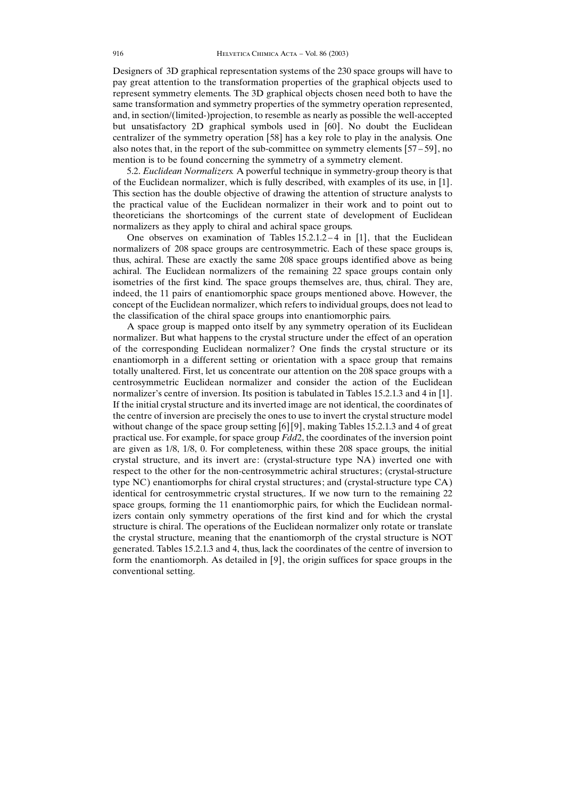Designers of 3D graphical representation systems of the 230 space groups will have to pay great attention to the transformation properties of the graphical objects used to represent symmetry elements. The 3D graphical objects chosen need both to have the same transformation and symmetry properties of the symmetry operation represented, and, in section/(limited-)projection, to resemble as nearly as possible the well-accepted but unsatisfactory 2D graphical symbols used in [60]. No doubt the Euclidean centralizer of the symmetry operation [58] has a key role to play in the analysis. One also notes that, in the report of the sub-committee on symmetry elements  $[57 - 59]$ , no mention is to be found concerning the symmetry of a symmetry element.

5.2. Euclidean Normalizers. A powerful technique in symmetry-group theory is that of the Euclidean normalizer, which is fully described, with examples of its use, in [1]. This section has the double objective of drawing the attention of structure analysts to the practical value of the Euclidean normalizer in their work and to point out to theoreticians the shortcomings of the current state of development of Euclidean normalizers as they apply to chiral and achiral space groups.

One observes on examination of Tables  $15.2.1.2 - 4$  in [1], that the Euclidean normalizers of 208 space groups are centrosymmetric. Each of these space groups is, thus, achiral. These are exactly the same 208 space groups identified above as being achiral. The Euclidean normalizers of the remaining 22 space groups contain only isometries of the first kind. The space groups themselves are, thus, chiral. They are, indeed, the 11 pairs of enantiomorphic space groups mentioned above. However, the concept of the Euclidean normalizer, which refers to individual groups, does not lead to the classification of the chiral space groups into enantiomorphic pairs.

A space group is mapped onto itself by any symmetry operation of its Euclidean normalizer. But what happens to the crystal structure under the effect of an operation of the corresponding Euclidean normalizer? One finds the crystal structure or its enantiomorph in a different setting or orientation with a space group that remains totally unaltered. First, let us concentrate our attention on the 208 space groups with a centrosymmetric Euclidean normalizer and consider the action of the Euclidean normalizer's centre of inversion. Its position is tabulated in Tables 15.2.1.3 and 4 in  $[1]$ . If the initial crystal structure and its inverted image are not identical, the coordinates of the centre of inversion are precisely the ones to use to invert the crystal structure model without change of the space group setting [6] [9], making Tables 15.2.1.3 and 4 of great practical use. For example, for space group Fdd2, the coordinates of the inversion point are given as 1/8, 1/8, 0. For completeness, within these 208 space groups, the initial crystal structure, and its invert are: (crystal-structure type NA) inverted one with respect to the other for the non-centrosymmetric achiral structures; (crystal-structure type NC) enantiomorphs for chiral crystal structures; and (crystal-structure type CA) identical for centrosymmetric crystal structures,. If we now turn to the remaining 22 space groups, forming the 11 enantiomorphic pairs, for which the Euclidean normalizers contain only symmetry operations of the first kind and for which the crystal structure is chiral. The operations of the Euclidean normalizer only rotate or translate the crystal structure, meaning that the enantiomorph of the crystal structure is NOT generated. Tables 15.2.1.3 and 4, thus, lack the coordinates of the centre of inversion to form the enantiomorph. As detailed in [9], the origin suffices for space groups in the conventional setting.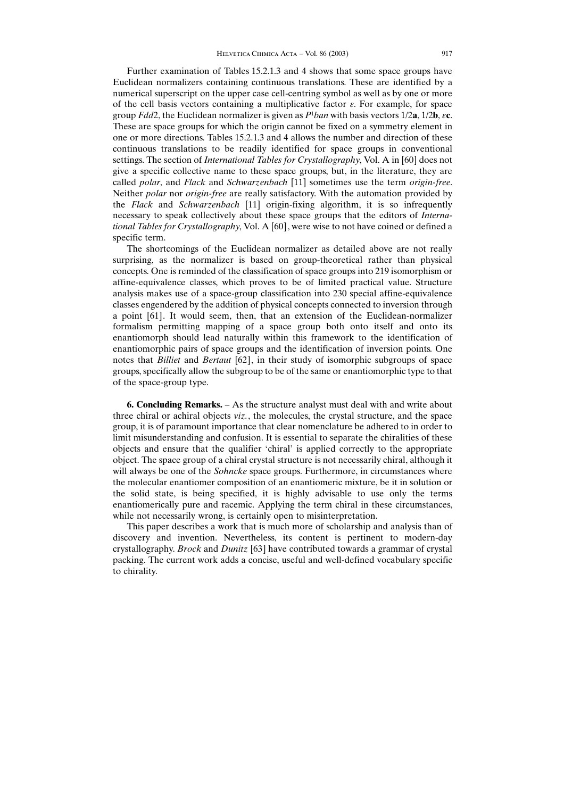Further examination of Tables 15.2.1.3 and 4 shows that some space groups have Euclidean normalizers containing continuous translations. These are identified by a numerical superscript on the upper case cell-centring symbol as well as by one or more of the cell basis vectors containing a multiplicative factor  $\varepsilon$ . For example, for space group Fdd2, the Euclidean normalizer is given as  $P<sup>1</sup> ban$  with basis vectors 1/2**a**, 1/2**b**,  $\varepsilon$ **c**. These are space groups for which the origin cannot be fixed on a symmetry element in one or more directions. Tables 15.2.1.3 and 4 allows the number and direction of these continuous translations to be readily identified for space groups in conventional settings. The section of *International Tables for Crystallography*, Vol. A in [60] does not give a specific collective name to these space groups, but, in the literature, they are called *polar*, and *Flack* and *Schwarzenbach* [11] sometimes use the term *origin-free*. Neither *polar* nor *origin-free* are really satisfactory. With the automation provided by the Flack and Schwarzenbach [11] origin-fixing algorithm, it is so infrequently necessary to speak collectively about these space groups that the editors of International Tables for Crystallography, Vol. A [60], were wise to not have coined or defined a specific term.

The shortcomings of the Euclidean normalizer as detailed above are not really surprising, as the normalizer is based on group-theoretical rather than physical concepts. One is reminded of the classification of space groups into 219 isomorphism or affine-equivalence classes, which proves to be of limited practical value. Structure analysis makes use of a space-group classification into 230 special affine-equivalence classes engendered by the addition of physical concepts connected to inversion through a point [61]. It would seem, then, that an extension of the Euclidean-normalizer formalism permitting mapping of a space group both onto itself and onto its enantiomorph should lead naturally within this framework to the identification of enantiomorphic pairs of space groups and the identification of inversion points. One notes that Billiet and Bertaut [62], in their study of isomorphic subgroups of space groups, specifically allow the subgroup to be of the same or enantiomorphic type to that of the space-group type.

**6. Concluding Remarks.** – As the structure analyst must deal with and write about three chiral or achiral objects viz., the molecules, the crystal structure, and the space group, it is of paramount importance that clear nomenclature be adhered to in order to limit misunderstanding and confusion. It is essential to separate the chiralities of these objects and ensure that the qualifier  $\Delta$ -chiral' is applied correctly to the appropriate object. The space group of a chiral crystal structure is not necessarily chiral, although it will always be one of the *Sohncke* space groups. Furthermore, in circumstances where the molecular enantiomer composition of an enantiomeric mixture, be it in solution or the solid state, is being specified, it is highly advisable to use only the terms enantiomerically pure and racemic. Applying the term chiral in these circumstances, while not necessarily wrong, is certainly open to misinterpretation.

This paper describes a work that is much more of scholarship and analysis than of discovery and invention. Nevertheless, its content is pertinent to modern-day crystallography. Brock and Dunitz [63] have contributed towards a grammar of crystal packing. The current work adds a concise, useful and well-defined vocabulary specific to chirality.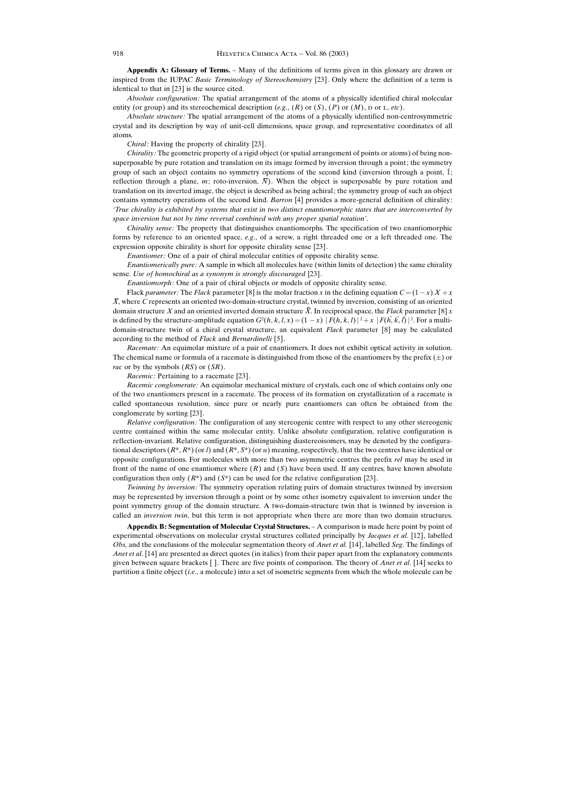Appendix A: Glossary of Terms.  $-$  Many of the definitions of terms given in this glossary are drawn or inspired from the IUPAC Basic Terminology of Stereochemistry [23]. Only where the definition of a term is identical to that in [23] is the source cited.

Absolute configuration: The spatial arrangement of the atoms of a physically identified chiral molecular entity (or group) and its stereochemical description (e.g.,  $(R)$  or  $(S)$ ,  $(P)$  or  $(M)$ ,  $D$  or  $L$ , etc).

Absolute structure: The spatial arrangement of the atoms of a physically identified non-centrosymmetric crystal and its description by way of unit-cell dimensions, space group, and representative coordinates of all atoms.

Chiral: Having the property of chirality [23].

Chirality: The geometric property of a rigid object (or spatial arrangement of points or atoms) of being nonsuperposable by pure rotation and translation on its image formed by inversion through a point; the symmetry group of such an object contains no symmetry operations of the second kind (inversion through a point, 1; reflection through a plane, m; roto-inversion,  $\overline{N}$ ). When the object is superposable by pure rotation and translation on its inverted image, the object is described as being achiral; the symmetry group of such an object contains symmetry operations of the second kind. Barron [4] provides a more-general definition of chirality: −True chirality is exhibited by systems that exist in two distinct enantiomorphic states that are interconverted by space inversion but not by time reversal combined with any proper spatial rotation'.

Chirality sense: The property that distinguishes enantiomorphs. The specification of two enantiomorphic forms by reference to an oriented space, e.g., of a screw, a right threaded one or a left threaded one. The expression opposite chirality is short for opposite chirality sense [23].

Enantiomer: One of a pair of chiral molecular entities of opposite chirality sense.

Enantiomerically pure: A sample in which all molecules have (within limits of detection) the same chirality sense. Use of homochiral as a synonym is strongly discouraged [23].

Enantiomorph: One of a pair of chiral objects or models of opposite chirality sense.

Flack *parameter*: The *Flack* parameter [8] is the molar fraction x in the defining equation  $C = (1 - x) X + x$  $\bar{X}$ , where C represents an oriented two-domain-structure crystal, twinned by inversion, consisting of an oriented domain structure X and an oriented inverted domain structure  $\bar{X}$ . In reciprocal space, the Flack parameter [8] x is defined by the structure-amplitude equation  $G^2(h, k, l, x) = (1 - x) |F(h, k, l)|^2 + x |F(h, \overline{k}, l)|^2$ . For a multidomain-structure twin of a chiral crystal structure, an equivalent Flack parameter [8] may be calculated according to the method of Flack and Bernardinelli [5].

Racemate: An equimolar mixture of a pair of enantiomers. It does not exhibit optical activity in solution. The chemical name or formula of a racemate is distinguished from those of the enantiomers by the prefix  $(\pm)$  or rac or by the symbols  $(RS)$  or  $(SR)$ .

Racemic: Pertaining to a racemate [23].

Racemic conglomerate: An equimolar mechanical mixture of crystals, each one of which contains only one of the two enantiomers present in a racemate. The process of its formation on crystallization of a racemate is called spontaneous resolution, since pure or nearly pure enantiomers can often be obtained from the conglomerate by sorting [23].

Relative configuration: The configuration of any stereogenic centre with respect to any other stereogenic centre contained within the same molecular entity. Unlike absolute configuration, relative configuration is reflection-invariant. Relative configuration, distinguishing diastereoisomers, may be denoted by the configurational descriptors  $(R^*, R^*)$  (or l) and  $(R^*, S^*)$  (or u) meaning, respectively, that the two centres have identical or opposite configurations. For molecules with more than two asymmetric centres the prefix rel may be used in front of the name of one enantiomer where  $(R)$  and  $(S)$  have been used. If any centres, have known absolute configuration then only  $(R^*)$  and  $(S^*)$  can be used for the relative configuration [23].

Twinning by inversion: The symmetry operation relating pairs of domain structures twinned by inversion may be represented by inversion through a point or by some other isometry equivalent to inversion under the point symmetry group of the domain structure. A two-domain-structure twin that is twinned by inversion is called an *inversion twin*, but this term is not appropriate when there are more than two domain structures.

Appendix B: Segmentation of Molecular Crystal Structures.  $- A$  comparison is made here point by point of experimental observations on molecular crystal structures collated principally by Jacques et al. [12], labelled Obs, and the conclusions of the molecular segmentation theory of Anet et al. [14], labelled Seg. The findings of Anet et al. [14] are presented as direct quotes (in italics) from their paper apart from the explanatory comments given between square brackets []. There are five points of comparison. The theory of Anet et al. [14] seeks to partition a finite object (*i.e.*, a molecule) into a set of isometric segments from which the whole molecule can be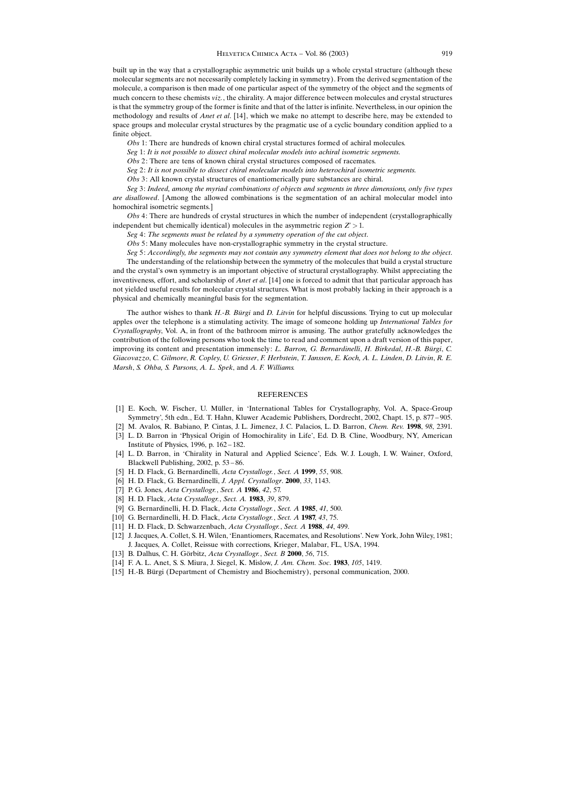built up in the way that a crystallographic asymmetric unit builds up a whole crystal structure (although these molecular segments are not necessarily completely lacking in symmetry). From the derived segmentation of the molecule, a comparison is then made of one particular aspect of the symmetry of the object and the segments of much concern to these chemists viz., the chirality. A major difference between molecules and crystal structures is that the symmetry group of the former is finite and that of the latter is infinite. Nevertheless, in our opinion the methodology and results of Anet et al. [14], which we make no attempt to describe here, may be extended to space groups and molecular crystal structures by the pragmatic use of a cyclic boundary condition applied to a finite object.

Obs 1: There are hundreds of known chiral crystal structures formed of achiral molecules.

Seg 1: It is not possible to dissect chiral molecular models into achiral isometric segments.

Obs 2: There are tens of known chiral crystal structures composed of racemates.

Seg 2: It is not possible to dissect chiral molecular models into heterochiral isometric segments.

Obs 3: All known crystal structures of enantiomerically pure substances are chiral.

Seg 3: Indeed, among the myriad combinations of objects and segments in three dimensions, only five types are disallowed. [Among the allowed combinations is the segmentation of an achiral molecular model into homochiral isometric segments.]

Obs 4: There are hundreds of crystal structures in which the number of independent (crystallographically independent but chemically identical) molecules in the asymmetric region  $Z' > 1$ .

Seg 4: The segments must be related by a symmetry operation of the cut object.

Obs 5: Many molecules have non-crystallographic symmetry in the crystal structure.

Seg 5: Accordingly, the segments may not contain any symmetry element that does not belong to the object. The understanding of the relationship between the symmetry of the molecules that build a crystal structure and the crystal's own symmetry is an important objective of structural crystallography. Whilst appreciating the inventiveness, effort, and scholarship of Anet et al. [14] one is forced to admit that that particular approach has not yielded useful results for molecular crystal structures. What is most probably lacking in their approach is a physical and chemically meaningful basis for the segmentation.

The author wishes to thank H.-B. Bürgi and D. Litvin for helpful discussions. Trying to cut up molecular apples over the telephone is a stimulating activity. The image of someone holding up International Tables for Crystallography, Vol. A, in front of the bathroom mirror is amusing. The author gratefully acknowledges the contribution of the following persons who took the time to read and comment upon a draft version of this paper, improving its content and presentation immensely: L. Barron, G. Bernardinelli, H. Birkedal, H.-B. Bürgi, C. Giacovazzo, C. Gilmore, R. Copley, U. Griesser, F. Herbstein, T. Janssen, E. Koch, A. L. Linden, D. Litvin, R. E. Marsh, S. Ohba, S. Parsons, A. L. Spek, and A. F. Williams.

## **REFERENCES**

- [1] E. Koch, W. Fischer, U. Müller, in 'International Tables for Crystallography, Vol. A, Space-Group Symmetry', 5th edn., Ed. T. Hahn, Kluwer Academic Publishers, Dordrecht, 2002, Chapt. 15, p. 877-905.
- M. Avalos, R. Babiano, P. Cintas, J. L. Jimenez, J. C. Palacios, L. D. Barron, Chem. Rev. 1998, 98, 2391. [3] L. D. Barron in 'Physical Origin of Homochirality in Life', Ed. D. B. Cline, Woodbury, NY, American Institute of Physics,  $1996$ , p.  $162 - 182$ .
- [4] L. D. Barron, in 'Chirality in Natural and Applied Science', Eds. W. J. Lough, I. W. Wainer, Oxford, Blackwell Publishing,  $2002$ , p.  $53 - 86$ .
- [5] H. D. Flack, G. Bernardinelli, Acta Crystallogr., Sect. A 1999, 55, 908.
- [6] H. D. Flack, G. Bernardinelli, J. Appl. Crystallogr. 2000, 33, 1143.
- [7] P. G. Jones, Acta Crystallogr., Sect. A 1986, 42, 57.
- [8] H. D. Flack, Acta Crystallogr., Sect. A. 1983, 39, 879.
- [9] G. Bernardinelli, H. D. Flack, Acta Crystallogr., Sect. A 1985, 41, 500.
- [10] G. Bernardinelli, H. D. Flack, Acta Crystallogr., Sect. A 1987, 43, 75.
- [11] H. D. Flack, D. Schwarzenbach, Acta Crystallogr., Sect. A 1988, 44, 499.
- [12] J. Jacques, A. Collet, S. H. Wilen, 'Enantiomers, Racemates, and Resolutions'. New York, John Wiley, 1981; J. Jacques, A. Collet, Reissue with corrections, Krieger, Malabar, FL, USA, 1994.
- [13] B. Dalhus, C. H. Görbitz, Acta Crystallogr., Sect. B 2000, 56, 715.
- [14] F. A. L. Anet, S. S. Miura, J. Siegel, K. Mislow, J. Am. Chem. Soc. 1983, 105, 1419.
- [15] H.-B. Bürgi (Department of Chemistry and Biochemistry), personal communication, 2000.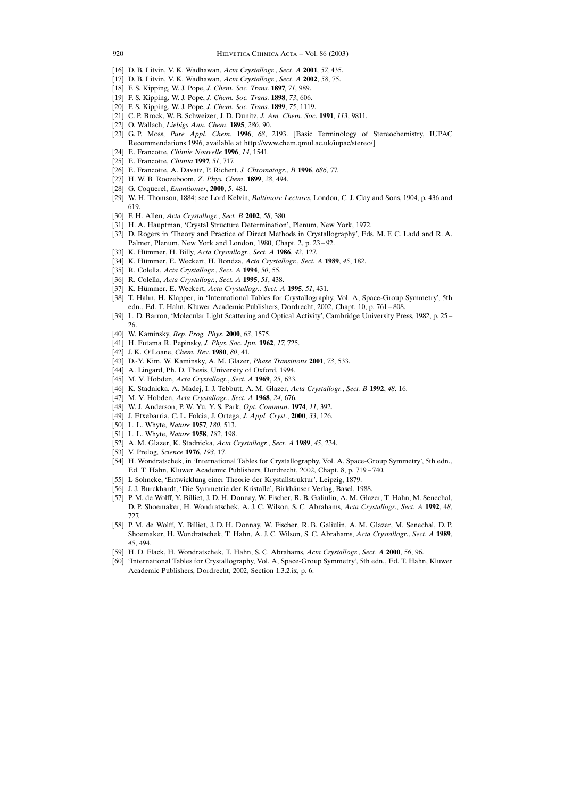- [16] D. B. Litvin, V. K. Wadhawan, Acta Crystallogr., Sect. A 2001, 57, 435.
- [17] D. B. Litvin, V. K. Wadhawan, Acta Crystallogr., Sect. A 2002, 58, 75.
- [18] F. S. Kipping, W. J. Pope, J. Chem. Soc. Trans. 1897, 71, 989.
- [19] F. S. Kipping, W. J. Pope, J. Chem. Soc. Trans. 1898, 73, 606.
- [20] F. S. Kipping, W. J. Pope, J. Chem. Soc. Trans. 1899, 75, 1119.
- [21] C. P. Brock, W. B. Schweizer, J. D. Dunitz, J. Am. Chem. Soc. 1991, 113, 9811.
- [22] O. Wallach, Liebigs Ann. Chem. 1895, 286, 90.
- [23] G. P. Moss, Pure Appl. Chem. 1996, 68, 2193. [Basic Terminology of Stereochemistry, IUPAC Recommendations 1996, available at http://www.chem.qmul.ac.uk/iupac/stereo/]
- [24] E. Francotte, Chimie Nouvelle 1996, 14, 1541.
- [25] E. Francotte, Chimia 1997, 51, 717.
- [26] E. Francotte, A. Davatz, P. Richert, J. Chromatogr., B 1996, 686, 77.
- [27] H. W. B. Roozeboom, Z. Phys. Chem. 1899, 28, 494.
- [28] G. Coquerel, *Enantiomer*, **2000**, 5, 481.
- [29] W. H. Thomson, 1884; see Lord Kelvin, Baltimore Lectures, London, C. J. Clay and Sons, 1904, p. 436 and 619.
- [30] F. H. Allen, Acta Crystallogr., Sect. B 2002, 58, 380.
- [31] H. A. Hauptman, 'Crystal Structure Determination', Plenum, New York, 1972.
- [32] D. Rogers in 'Theory and Practice of Direct Methods in Crystallography', Eds. M. F. C. Ladd and R. A. Palmer, Plenum, New York and London, 1980, Chapt. 2, p. 23-92.
- [33] K. Hümmer, H. Billy, Acta Crystallogr., Sect. A 1986, 42, 127.
- [34] K. Hümmer, E. Weckert, H. Bondza, Acta Crystallogr., Sect. A 1989, 45, 182.
- [35] R. Colella, Acta Crystallogr., Sect. A 1994, 50, 55.
- [36] R. Colella, Acta Crystallogr., Sect. A 1995, 51, 438.
- [37] K. Hümmer, E. Weckert, Acta Crystallogr., Sect. A 1995, 51, 431.
- [38] T. Hahn, H. Klapper, in 'International Tables for Crystallography, Vol. A, Space-Group Symmetry', 5th edn., Ed. T. Hahn, Kluwer Academic Publishers, Dordrecht, 2002, Chapt. 10, p. 761 - 808.
- [39] L. D. Barron, 'Molecular Light Scattering and Optical Activity', Cambridge University Press, 1982, p. 25 -26.
- [40] W. Kaminsky, Rep. Prog. Phys. 2000, 63, 1575.
- [41] H. Futama R. Pepinsky, J. Phys. Soc. Jpn. 1962, 17, 725.
- [42] J. K. O'Loane, Chem. Rev. 1980, 80, 41.
- [43] D.-Y. Kim, W. Kaminsky, A. M. Glazer, *Phase Transitions* **2001**, 73, 533.
- [44] A. Lingard, Ph. D. Thesis, University of Oxford, 1994.
- [45] M. V. Hobden, Acta Crystallogr., Sect. A 1969, 25, 633.
- [46] K. Stadnicka, A. Madej, I. J. Tebbutt, A. M. Glazer, Acta Crystallogr., Sect. B 1992, 48, 16.
- [47] M. V. Hobden, Acta Crystallogr., Sect. A 1968, 24, 676.
- [48] W. J. Anderson, P. W. Yu, Y. S. Park, Opt. Commun. 1974, 11, 392.
- [49] J. Etxebarria, C. L. Folcia, J. Ortega, J. Appl. Cryst., 2000, 33, 126.
- [50] L. L. Whyte, Nature 1957, 180, 513.
- [51] L. L. Whyte, Nature 1958, 182, 198.
- [52] A. M. Glazer, K. Stadnicka, Acta Crystallogr., Sect. A 1989, 45, 234.
- [53] V. Prelog, Science 1976, 193, 17.
- [54] H. Wondratschek, in 'International Tables for Crystallography, Vol. A, Space-Group Symmetry', 5th edn., Ed. T. Hahn, Kluwer Academic Publishers, Dordrecht, 2002, Chapt. 8, p. 719-740.
- [55] L Sohncke, 'Entwicklung einer Theorie der Krystallstruktur', Leipzig, 1879.
- [56] J. J. Burckhardt, 'Die Symmetrie der Kristalle', Birkhäuser Verlag, Basel, 1988.
- [57] P. M. de Wolff, Y. Billiet, J. D. H. Donnay, W. Fischer, R. B. Galiulin, A. M. Glazer, T. Hahn, M. Senechal, D. P. Shoemaker, H. Wondratschek, A. J. C. Wilson, S. C. Abrahams, Acta Crystallogr., Sect. A 1992, 48, 727.
- [58] P. M. de Wolff, Y. Billiet, J. D. H. Donnay, W. Fischer, R. B. Galiulin, A. M. Glazer, M. Senechal, D. P. Shoemaker, H. Wondratschek, T. Hahn, A. J. C. Wilson, S. C. Abrahams, Acta Crystallogr., Sect. A 1989, 45, 494.
- [59] H. D. Flack, H. Wondratschek, T. Hahn, S. C. Abrahams, Acta Crystallogr., Sect. A 2000, 56, 96.
- [60]  $'International Tables for Crystallography, Vol. A, Space-Group Symmetry', 5th edn., Ed. T. Hahn, Kluwer$ Academic Publishers, Dordrecht, 2002, Section 1.3.2.ix, p. 6.